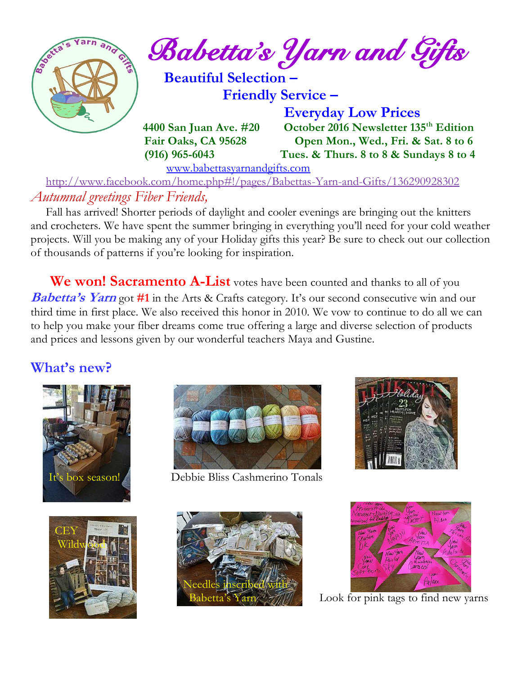

 <http://www.facebook.com/home.php#!/pages/Babettas-Yarn-and-Gifts/136290928302> *Autumnal greetings Fiber Friends,*

 Fall has arrived! Shorter periods of daylight and cooler evenings are bringing out the knitters and crocheters. We have spent the summer bringing in everything you'll need for your cold weather projects. Will you be making any of your Holiday gifts this year? Be sure to check out our collection of thousands of patterns if you're looking for inspiration.

 **We won! Sacramento A-List** votes have been counted and thanks to all of you **Babetta's Yarn** got #1 in the Arts & Crafts category. It's our second consecutive win and our third time in first place. We also received this honor in 2010. We vow to continue to do all we can to help you make your fiber dreams come true offering a large and diverse selection of products and prices and lessons given by our wonderful teachers Maya and Gustine.

#### **What's new?**





box season! Debbie Bliss Cashmerino Tonals









Look for pink tags to find new yarns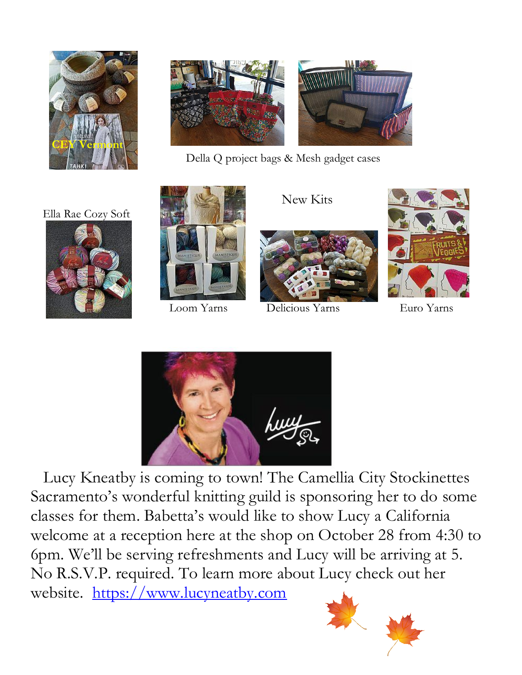



Della Q project bags & Mesh gadget cases

Ella Rae Cozy Soft







New Kits

Loom Yarns Delicious Yarns Euro Yarns





 Lucy Kneatby is coming to town! The Camellia City Stockinettes Sacramento's wonderful knitting guild is sponsoring her to do some classes for them. Babetta's would like to show Lucy a California welcome at a reception here at the shop on October 28 from 4:30 to 6pm. We'll be serving refreshments and Lucy will be arriving at 5. No R.S.V.P. required. To learn more about Lucy check out her website. [https://www.lucyneatby.com](https://www.lucyneatby.com/)

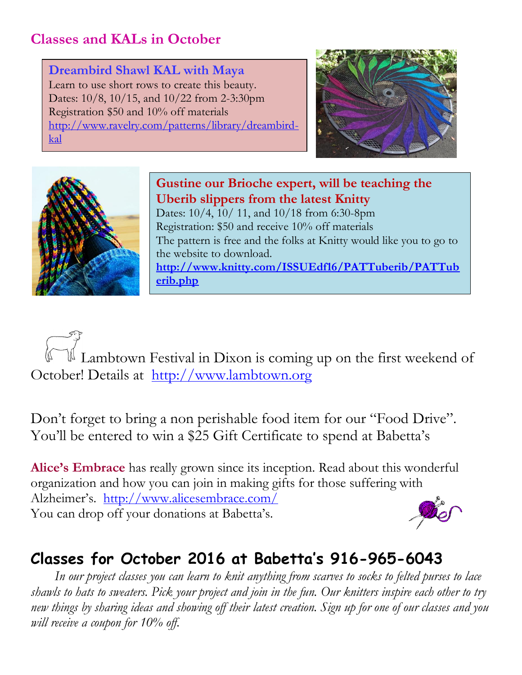# **Classes and KALs in October**

**Dreambird Shawl KAL with Maya** Learn to use short rows to create this beauty. Dates: 10/8, 10/15, and 10/22 from 2-3:30pm Registration \$50 and 10% off materials [http://www.ravelry.com/patterns/library/dreambird](http://www.ravelry.com/patterns/library/dreambird-kal)[kal](http://www.ravelry.com/patterns/library/dreambird-kal)





**Gustine our Brioche expert, will be teaching the Uberib slippers from the latest Knitty** Dates: 10/4, 10/ 11, and 10/18 from 6:30-8pm Registration: \$50 and receive 10% off materials The pattern is free and the folks at Knitty would like you to go to the website to download. **[http://www.knitty.com/ISSUEdf16/PATTuberib/PATTub](http://www.knitty.com/ISSUEdf16/PATTuberib/PATTuberib.php) [erib.php](http://www.knitty.com/ISSUEdf16/PATTuberib/PATTuberib.php)**

 Lambtown Festival in Dixon is coming up on the first weekend of October! Details at [http://www.lambtown.org](http://www.lambtown.org/) 

Don't forget to bring a non perishable food item for our "Food Drive". You'll be entered to win a \$25 Gift Certificate to spend at Babetta's

**Alice's Embrace** has really grown since its inception. Read about this wonderful organization and how you can join in making gifts for those suffering with Alzheimer's. <http://www.alicesembrace.com/> You can drop off your donations at Babetta's.

# **Classes for October 2016 at Babetta's 916-965-6043**

 *In our project classes you can learn to knit anything from scarves to socks to felted purses to lace shawls to hats to sweaters. Pick your project and join in the fun. Our knitters inspire each other to try new things by sharing ideas and showing off their latest creation. Sign up for one of our classes and you will receive a coupon for 10% off.*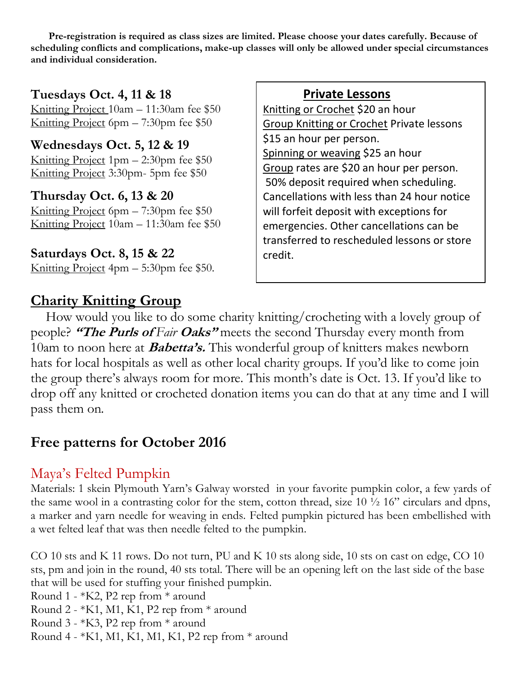**Pre-registration is required as class sizes are limited. Please choose your dates carefully. Because of scheduling conflicts and complications, make-up classes will only be allowed under special circumstances and individual consideration.**

**Tuesdays Oct. 4, 11 & 18** Knitting Project 10am – 11:30am fee \$50 Knitting Project 6pm – 7:30pm fee \$50

**Wednesdays Oct. 5, 12 & 19** Knitting Project 1pm – 2:30pm fee \$50

Knitting Project 3:30pm- 5pm fee \$50

**Thursday Oct. 6, 13 & 20** Knitting Project 6pm – 7:30pm fee \$50 Knitting Project 10am – 11:30am fee \$50

**Saturdays Oct. 8, 15 & 22** Knitting Project 4pm – 5:30pm fee \$50.

### **Charity Knitting Group**

#### **Private Lessons**

Knitting or Crochet \$20 an hour Group Knitting or Crochet Private lessons \$15 an hour per person. Spinning or weaving \$25 an hour Group rates are \$20 an hour per person. 50% deposit required when scheduling. Cancellations with less than 24 hour notice will forfeit deposit with exceptions for emergencies. Other cancellations can be transferred to rescheduled lessons or store credit.

 How would you like to do some charity knitting/crocheting with a lovely group of people? **"The Purls of** *Fair* **Oaks"** meets the second Thursday every month from 10am to noon here at **Babetta's.** This wonderful group of knitters makes newborn hats for local hospitals as well as other local charity groups. If you'd like to come join the group there's always room for more. This month's date is Oct. 13. If you'd like to drop off any knitted or crocheted donation items you can do that at any time and I will pass them on.

# **Free patterns for October 2016**

# Maya's Felted Pumpkin

Materials: 1 skein Plymouth Yarn's Galway worsted in your favorite pumpkin color, a few yards of the same wool in a contrasting color for the stem, cotton thread, size  $10\frac{1}{2}$  16" circulars and dpns, a marker and yarn needle for weaving in ends. Felted pumpkin pictured has been embellished with a wet felted leaf that was then needle felted to the pumpkin.

CO 10 sts and K 11 rows. Do not turn, PU and K 10 sts along side, 10 sts on cast on edge, CO 10 sts, pm and join in the round, 40 sts total. There will be an opening left on the last side of the base that will be used for stuffing your finished pumpkin.

Round 1 - \*K2, P2 rep from \* around

Round 2 -  $*K1$ , M1, K1, P2 rep from  $*$  around

Round 3 - \*K3, P2 rep from \* around

Round 4 - \*K1, M1, K1, M1, K1, P2 rep from \* around